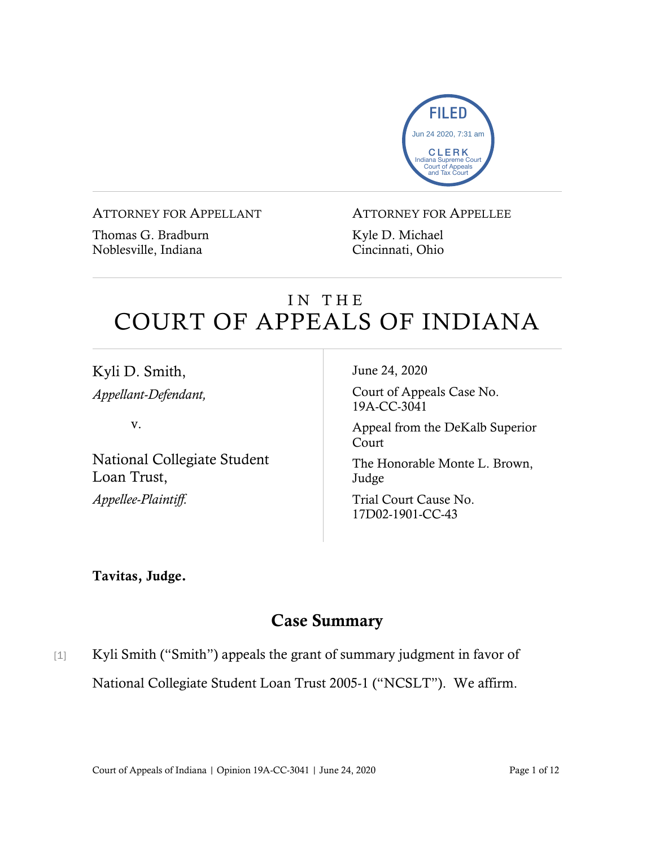

#### ATTORNEY FOR APPELLANT

Thomas G. Bradburn Noblesville, Indiana

#### ATTORNEY FOR APPELLEE

Kyle D. Michael Cincinnati, Ohio

# IN THE COURT OF APPEALS OF INDIANA

Kyli D. Smith, *Appellant-Defendant,*

v.

National Collegiate Student Loan Trust, *Appellee-Plaintiff.*

June 24, 2020

Court of Appeals Case No. 19A-CC-3041

Appeal from the DeKalb Superior Court

The Honorable Monte L. Brown, Judge

Trial Court Cause No. 17D02-1901-CC-43

## Tavitas, Judge.

# Case Summary

[1] Kyli Smith ("Smith") appeals the grant of summary judgment in favor of National Collegiate Student Loan Trust 2005-1 ("NCSLT"). We affirm.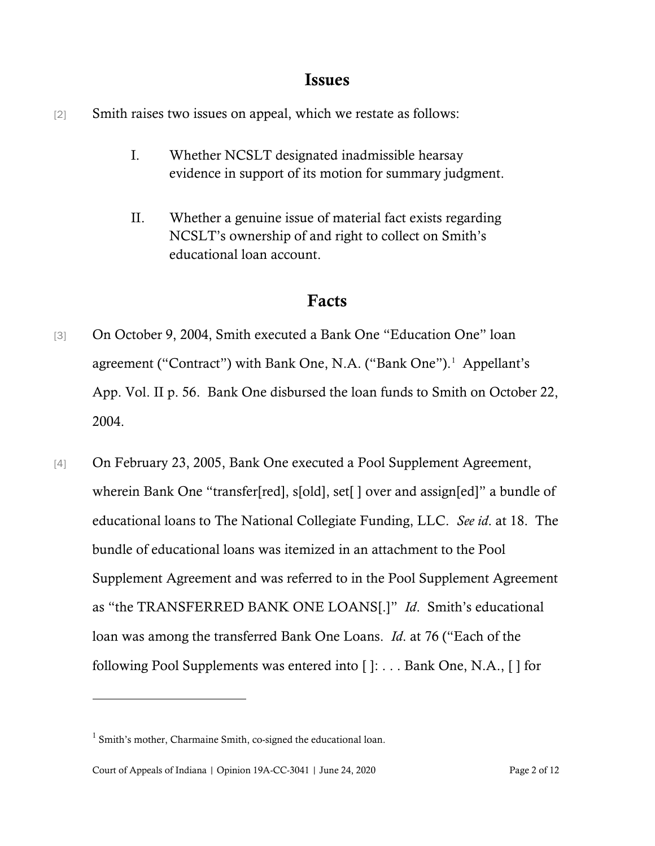## Issues

- [2] Smith raises two issues on appeal, which we restate as follows:
	- I. Whether NCSLT designated inadmissible hearsay evidence in support of its motion for summary judgment.
	- II. Whether a genuine issue of material fact exists regarding NCSLT's ownership of and right to collect on Smith's educational loan account.

## Facts

- [3] On October 9, 2004, Smith executed a Bank One "Education One" loan agreement ("Contract") with Bank One, N.A. ("Bank One"). [1](#page-1-0) Appellant's App. Vol. II p. 56. Bank One disbursed the loan funds to Smith on October 22, 2004.
- [4] On February 23, 2005, Bank One executed a Pool Supplement Agreement, wherein Bank One "transfer[red], s[old], set[] over and assign[ed]" a bundle of educational loans to The National Collegiate Funding, LLC. *See id*. at 18. The bundle of educational loans was itemized in an attachment to the Pool Supplement Agreement and was referred to in the Pool Supplement Agreement as "the TRANSFERRED BANK ONE LOANS[.]" *Id*. Smith's educational loan was among the transferred Bank One Loans. *Id*. at 76 ("Each of the following Pool Supplements was entered into [ ]: . . . Bank One, N.A., [ ] for

<span id="page-1-0"></span><sup>1</sup> Smith's mother, Charmaine Smith, co-signed the educational loan.

Court of Appeals of Indiana | Opinion 19A-CC-3041 | June 24, 2020 Page 2 of 12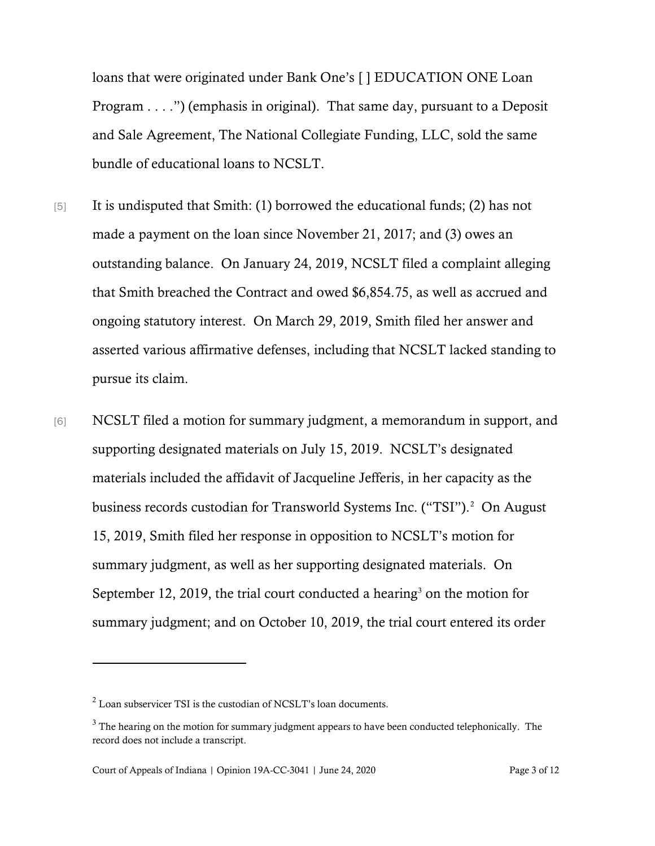loans that were originated under Bank One's [ ] EDUCATION ONE Loan Program . . . .") (emphasis in original). That same day, pursuant to a Deposit and Sale Agreement, The National Collegiate Funding, LLC, sold the same bundle of educational loans to NCSLT.

- [5] It is undisputed that Smith: (1) borrowed the educational funds; (2) has not made a payment on the loan since November 21, 2017; and (3) owes an outstanding balance. On January 24, 2019, NCSLT filed a complaint alleging that Smith breached the Contract and owed \$6,854.75, as well as accrued and ongoing statutory interest. On March 29, 2019, Smith filed her answer and asserted various affirmative defenses, including that NCSLT lacked standing to pursue its claim.
- [6] NCSLT filed a motion for summary judgment, a memorandum in support, and supporting designated materials on July 15, 2019. NCSLT's designated materials included the affidavit of Jacqueline Jefferis, in her capacity as the business records custodian for Transworld Systems Inc. ("TSI").<sup>[2](#page-2-0)</sup> On August 15, 2019, Smith filed her response in opposition to NCSLT's motion for summary judgment, as well as her supporting designated materials. On September 12, 2019, the trial court conducted a hearing<sup>[3](#page-2-1)</sup> on the motion for summary judgment; and on October 10, 2019, the trial court entered its order

<span id="page-2-0"></span><sup>2</sup> Loan subservicer TSI is the custodian of NCSLT's loan documents.

<span id="page-2-1"></span> $3$  The hearing on the motion for summary judgment appears to have been conducted telephonically. The record does not include a transcript.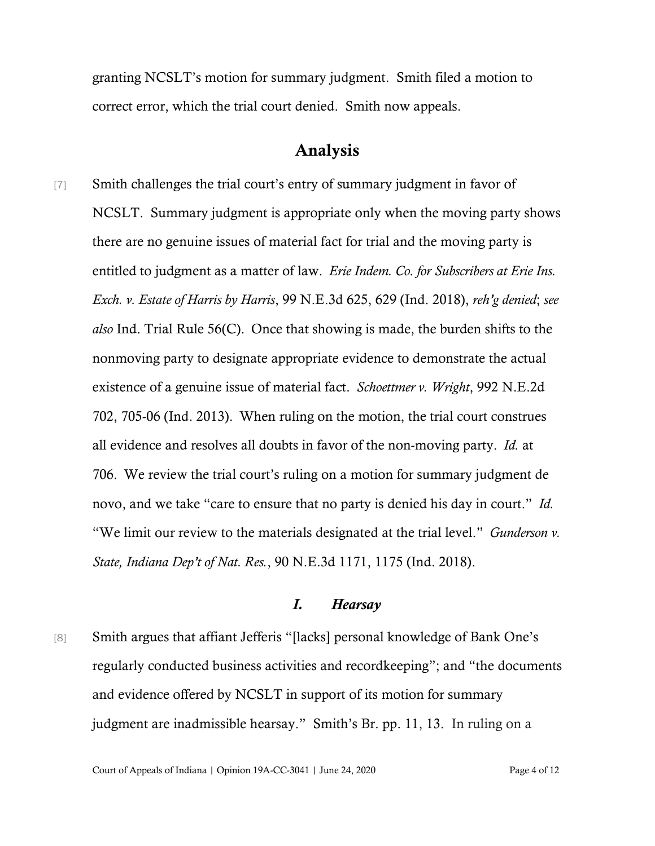granting NCSLT's motion for summary judgment. Smith filed a motion to correct error, which the trial court denied. Smith now appeals.

## Analysis

[7] Smith challenges the trial court's entry of summary judgment in favor of NCSLT. Summary judgment is appropriate only when the moving party shows there are no genuine issues of material fact for trial and the moving party is entitled to judgment as a matter of law. *Erie Indem. Co. for Subscribers at Erie Ins. Exch. v. Estate of Harris by Harris*, 99 N.E.3d 625, 629 (Ind. 2018), *reh'g denied*; *see also* Ind. Trial Rule 56(C). Once that showing is made, the burden shifts to the nonmoving party to designate appropriate evidence to demonstrate the actual existence of a genuine issue of material fact. *Schoettmer v. Wright*, 992 N.E.2d 702, 705-06 (Ind. 2013). When ruling on the motion, the trial court construes all evidence and resolves all doubts in favor of the non-moving party. *Id.* at 706. We review the trial court's ruling on a motion for summary judgment de novo, and we take "care to ensure that no party is denied his day in court." *Id.* "We limit our review to the materials designated at the trial level." *Gunderson v. State, Indiana Dep't of Nat. Res.*, 90 N.E.3d 1171, 1175 (Ind. 2018).

#### *I. Hearsay*

[8] Smith argues that affiant Jefferis "[lacks] personal knowledge of Bank One's regularly conducted business activities and recordkeeping"; and "the documents and evidence offered by NCSLT in support of its motion for summary judgment are inadmissible hearsay." Smith's Br. pp. 11, 13. In ruling on a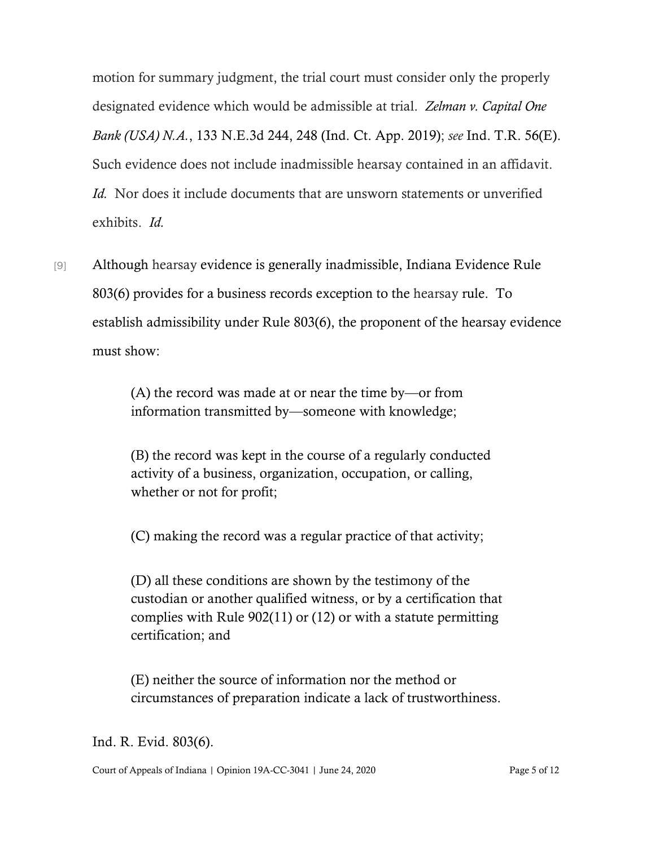motion for summary judgment, the trial court must consider only the properly designated evidence which would be admissible at trial. *Zelman v. Capital One Bank (USA) N.A.*, 133 N.E.3d 244, 248 (Ind. Ct. App. 2019); *see* Ind. T.R. 56(E). Such evidence does not include inadmissible hearsay contained in an affidavit. *Id.* Nor does it include documents that are unsworn statements or unverified exhibits. *Id.* 

[9] Although hearsay evidence is generally inadmissible, Indiana Evidence Rule 803(6) provides for a business records exception to the hearsay rule. To establish admissibility under Rule 803(6), the proponent of the hearsay evidence must show:

> (A) the record was made at or near the time by—or from information transmitted by—someone with knowledge;

(B) the record was kept in the course of a regularly conducted activity of a business, organization, occupation, or calling, whether or not for profit;

(C) making the record was a regular practice of that activity;

(D) all these conditions are shown by the testimony of the custodian or another qualified witness, or by a certification that complies with Rule 902(11) or (12) or with a statute permitting certification; and

(E) neither the source of information nor the method or circumstances of preparation indicate a lack of trustworthiness.

Ind. R. Evid. 803(6).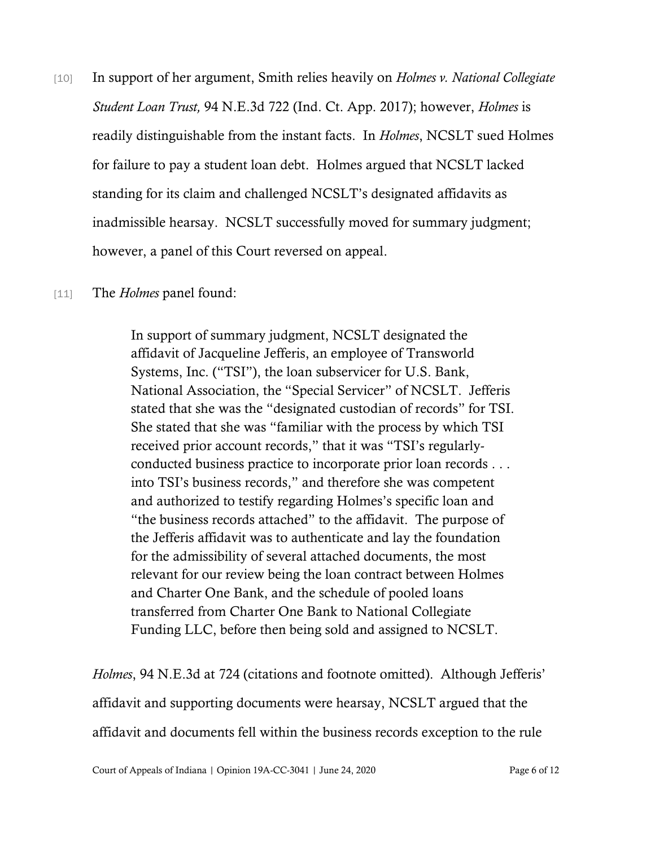- [10] In support of her argument, Smith relies heavily on *Holmes v. National Collegiate Student Loan Trust,* 94 N.E.3d 722 (Ind. Ct. App. 2017); however, *Holmes* is readily distinguishable from the instant facts. In *Holmes*, NCSLT sued Holmes for failure to pay a student loan debt. Holmes argued that NCSLT lacked standing for its claim and challenged NCSLT's designated affidavits as inadmissible hearsay. NCSLT successfully moved for summary judgment; however, a panel of this Court reversed on appeal.
- [11] The *Holmes* panel found:

In support of summary judgment, NCSLT designated the affidavit of Jacqueline Jefferis, an employee of Transworld Systems, Inc. ("TSI"), the loan subservicer for U.S. Bank, National Association, the "Special Servicer" of NCSLT. Jefferis stated that she was the "designated custodian of records" for TSI. She stated that she was "familiar with the process by which TSI received prior account records," that it was "TSI's regularlyconducted business practice to incorporate prior loan records . . . into TSI's business records," and therefore she was competent and authorized to testify regarding Holmes's specific loan and "the business records attached" to the affidavit. The purpose of the Jefferis affidavit was to authenticate and lay the foundation for the admissibility of several attached documents, the most relevant for our review being the loan contract between Holmes and Charter One Bank, and the schedule of pooled loans transferred from Charter One Bank to National Collegiate Funding LLC, before then being sold and assigned to NCSLT.

*Holmes*, 94 N.E.3d at 724 (citations and footnote omitted). Although Jefferis' affidavit and supporting documents were hearsay, NCSLT argued that the affidavit and documents fell within the business records exception to the rule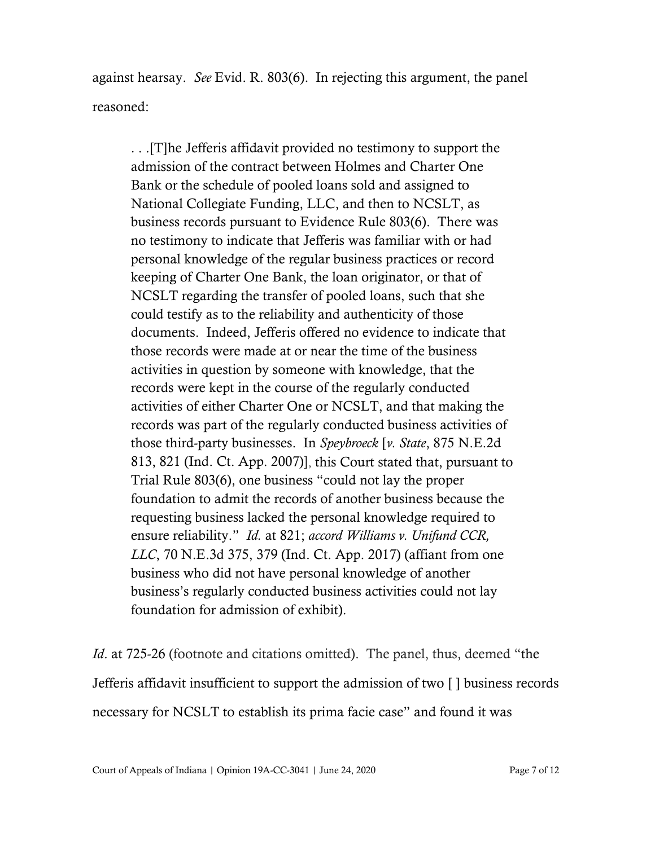against hearsay. *See* Evid. R. 803(6). In rejecting this argument, the panel reasoned:

. . .[T]he Jefferis affidavit provided no testimony to support the admission of the contract between Holmes and Charter One Bank or the schedule of pooled loans sold and assigned to National Collegiate Funding, LLC, and then to NCSLT, as business records pursuant to Evidence Rule 803(6). There was no testimony to indicate that Jefferis was familiar with or had personal knowledge of the regular business practices or record keeping of Charter One Bank, the loan originator, or that of NCSLT regarding the transfer of pooled loans, such that she could testify as to the reliability and authenticity of those documents. Indeed, Jefferis offered no evidence to indicate that those records were made at or near the time of the business activities in question by someone with knowledge, that the records were kept in the course of the regularly conducted activities of either Charter One or NCSLT, and that making the records was part of the regularly conducted business activities of those third-party businesses. In *Speybroeck* [*v. State*, 875 N.E.2d 813, 821 (Ind. Ct. App. 2007)], this Court stated that, pursuant to Trial Rule 803(6), one business "could not lay the proper foundation to admit the records of another business because the requesting business lacked the personal knowledge required to ensure reliability." *Id.* at 821; *accord Williams v. Unifund CCR, LLC*, 70 N.E.3d 375, 379 (Ind. Ct. App. 2017) (affiant from one business who did not have personal knowledge of another business's regularly conducted business activities could not lay foundation for admission of exhibit).

*Id.* at 725-26 (footnote and citations omitted). The panel, thus, deemed "the Jefferis affidavit insufficient to support the admission of two [ ] business records necessary for NCSLT to establish its prima facie case" and found it was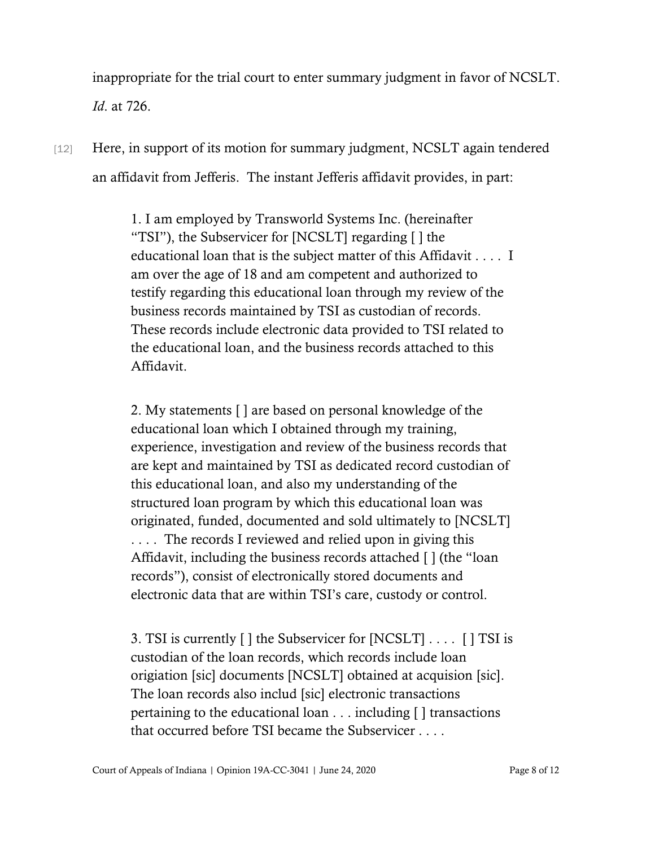inappropriate for the trial court to enter summary judgment in favor of NCSLT. *Id*. at 726.

[12] Here, in support of its motion for summary judgment, NCSLT again tendered an affidavit from Jefferis. The instant Jefferis affidavit provides, in part:

> 1. I am employed by Transworld Systems Inc. (hereinafter "TSI"), the Subservicer for [NCSLT] regarding [ ] the educational loan that is the subject matter of this Affidavit . . . . I am over the age of 18 and am competent and authorized to testify regarding this educational loan through my review of the business records maintained by TSI as custodian of records. These records include electronic data provided to TSI related to the educational loan, and the business records attached to this Affidavit.

> 2. My statements [ ] are based on personal knowledge of the educational loan which I obtained through my training, experience, investigation and review of the business records that are kept and maintained by TSI as dedicated record custodian of this educational loan, and also my understanding of the structured loan program by which this educational loan was originated, funded, documented and sold ultimately to [NCSLT] . . . . The records I reviewed and relied upon in giving this Affidavit, including the business records attached [ ] (the "loan records"), consist of electronically stored documents and electronic data that are within TSI's care, custody or control.

> 3. TSI is currently [ ] the Subservicer for [NCSLT] . . . . [ ] TSI is custodian of the loan records, which records include loan origiation [sic] documents [NCSLT] obtained at acquision [sic]. The loan records also includ [sic] electronic transactions pertaining to the educational loan . . . including [ ] transactions that occurred before TSI became the Subservicer . . . .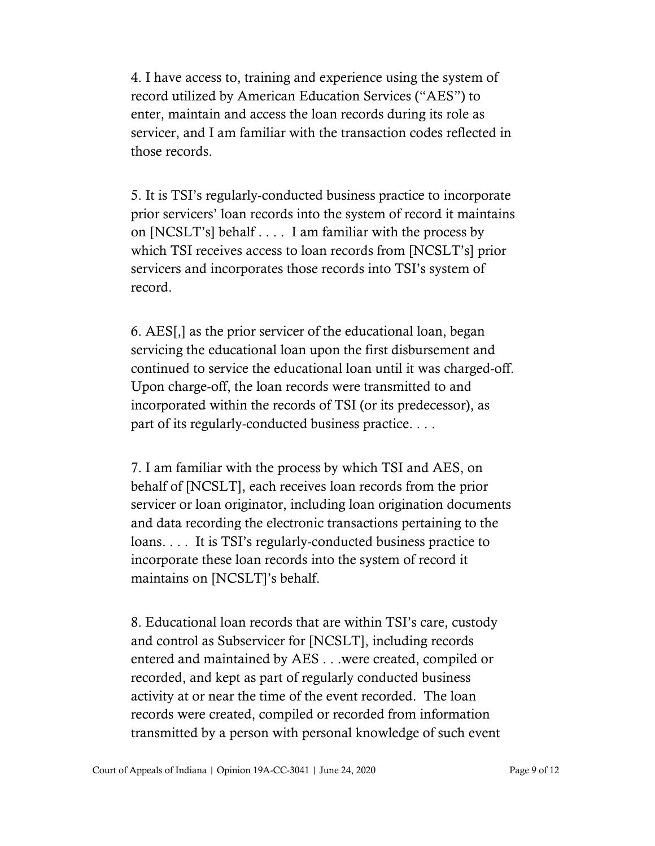4. I have access to, training and experience using the system of record utilized by American Education Services ("AES") to enter, maintain and access the loan records during its role as servicer, and I am familiar with the transaction codes reflected in those records.

5. It is TSI's regularly-conducted business practice to incorporate prior servicers' loan records into the system of record it maintains on [NCSLT's] behalf . . . . I am familiar with the process by which TSI receives access to loan records from [NCSLT's] prior servicers and incorporates those records into TSI's system of record.

6. AES[,] as the prior servicer of the educational loan, began servicing the educational loan upon the first disbursement and continued to service the educational loan until it was charged-off. Upon charge-off, the loan records were transmitted to and incorporated within the records of TSI (or its predecessor), as part of its regularly-conducted business practice. . . .

7. I am familiar with the process by which TSI and AES, on behalf of [NCSLT], each receives loan records from the prior servicer or loan originator, including loan origination documents and data recording the electronic transactions pertaining to the loans. . . . It is TSI's regularly-conducted business practice to incorporate these loan records into the system of record it maintains on [NCSLT]'s behalf.

8. Educational loan records that are within TSI's care, custody and control as Subservicer for [NCSLT], including records entered and maintained by AES . . .were created, compiled or recorded, and kept as part of regularly conducted business activity at or near the time of the event recorded. The loan records were created, compiled or recorded from information transmitted by a person with personal knowledge of such event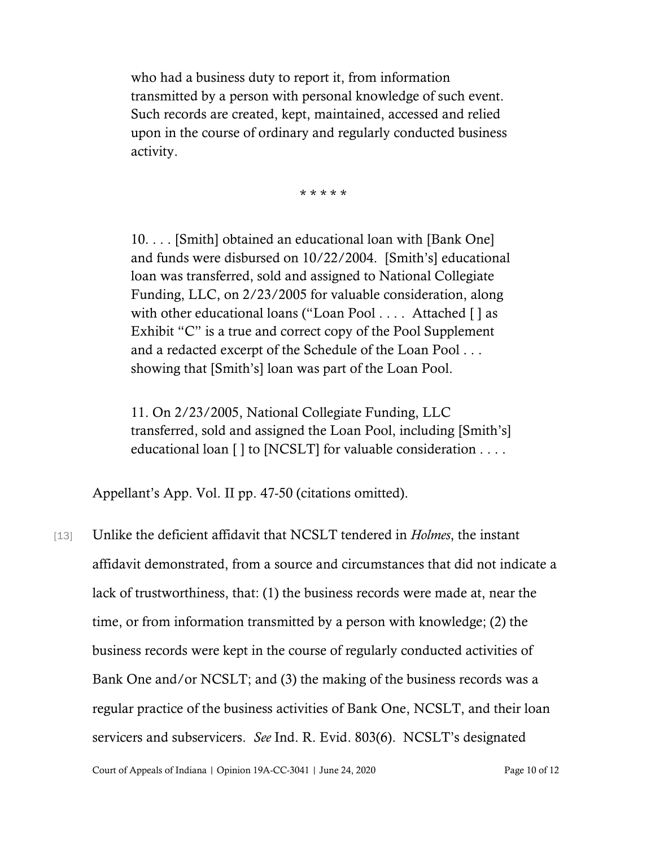who had a business duty to report it, from information transmitted by a person with personal knowledge of such event. Such records are created, kept, maintained, accessed and relied upon in the course of ordinary and regularly conducted business activity.

\* \* \* \* \*

10. . . . [Smith] obtained an educational loan with [Bank One] and funds were disbursed on 10/22/2004. [Smith's] educational loan was transferred, sold and assigned to National Collegiate Funding, LLC, on 2/23/2005 for valuable consideration, along with other educational loans ("Loan Pool . . . . Attached [ ] as Exhibit "C" is a true and correct copy of the Pool Supplement and a redacted excerpt of the Schedule of the Loan Pool . . . showing that [Smith's] loan was part of the Loan Pool.

11. On 2/23/2005, National Collegiate Funding, LLC transferred, sold and assigned the Loan Pool, including [Smith's] educational loan [ ] to [NCSLT] for valuable consideration . . . .

Appellant's App. Vol. II pp. 47-50 (citations omitted).

[13] Unlike the deficient affidavit that NCSLT tendered in *Holmes*, the instant affidavit demonstrated, from a source and circumstances that did not indicate a lack of trustworthiness, that: (1) the business records were made at, near the time, or from information transmitted by a person with knowledge; (2) the business records were kept in the course of regularly conducted activities of Bank One and/or NCSLT; and (3) the making of the business records was a regular practice of the business activities of Bank One, NCSLT, and their loan servicers and subservicers. *See* Ind. R. Evid. 803(6). NCSLT's designated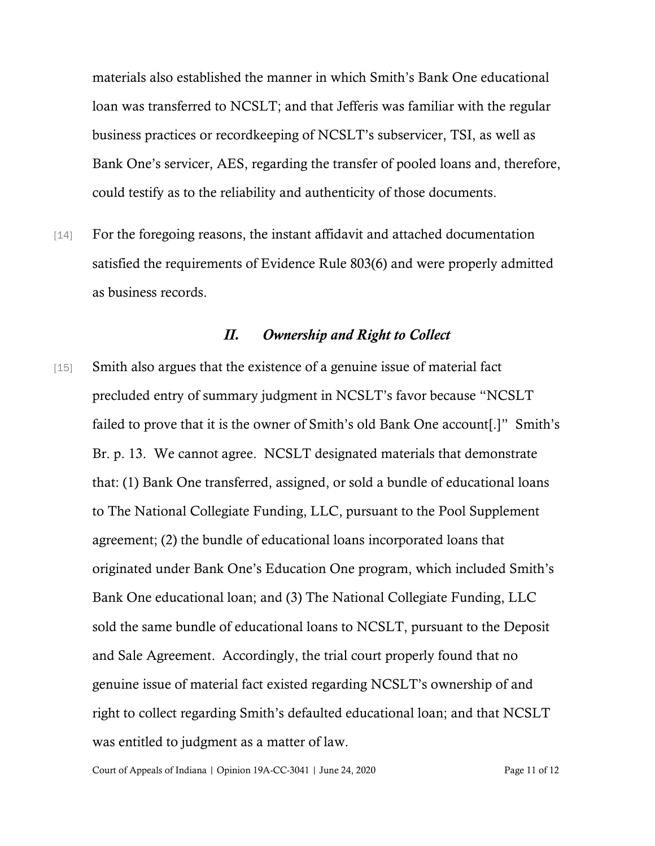materials also established the manner in which Smith's Bank One educational loan was transferred to NCSLT; and that Jefferis was familiar with the regular business practices or recordkeeping of NCSLT's subservicer, TSI, as well as Bank One's servicer, AES, regarding the transfer of pooled loans and, therefore, could testify as to the reliability and authenticity of those documents.

[14] For the foregoing reasons, the instant affidavit and attached documentation satisfied the requirements of Evidence Rule 803(6) and were properly admitted as business records.

#### *II. Ownership and Right to Collect*

[15] Smith also argues that the existence of a genuine issue of material fact precluded entry of summary judgment in NCSLT's favor because "NCSLT failed to prove that it is the owner of Smith's old Bank One account[.]" Smith's Br. p. 13. We cannot agree. NCSLT designated materials that demonstrate that: (1) Bank One transferred, assigned, or sold a bundle of educational loans to The National Collegiate Funding, LLC, pursuant to the Pool Supplement agreement; (2) the bundle of educational loans incorporated loans that originated under Bank One's Education One program, which included Smith's Bank One educational loan; and (3) The National Collegiate Funding, LLC sold the same bundle of educational loans to NCSLT, pursuant to the Deposit and Sale Agreement. Accordingly, the trial court properly found that no genuine issue of material fact existed regarding NCSLT's ownership of and right to collect regarding Smith's defaulted educational loan; and that NCSLT was entitled to judgment as a matter of law.